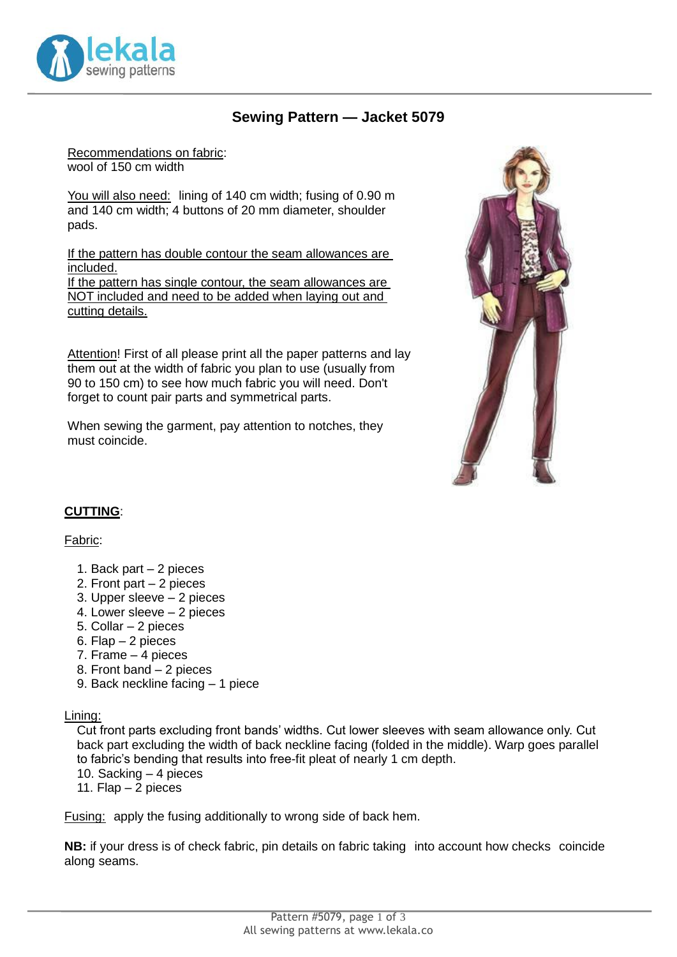

## **Sewing Pattern — Jacket 5079**

Recommendations on fabric: wool of 150 cm width

You will also need: lining of 140 cm width; fusing of 0.90 m and 140 cm width; 4 buttons of 20 mm diameter, shoulder pads.

If the pattern has double contour the seam allowances are included. If the pattern has single contour, the seam allowances are NOT included and need to be added when laying out and cutting details.

Attention! First of all please print all the paper patterns and lay them out at the width of fabric you plan to use (usually from 90 to 150 cm) to see how much fabric you will need. Don't forget to count pair parts and symmetrical parts.

When sewing the garment, pay attention to notches, they must coincide.



#### **CUTTING**:

#### Fabric:

- 1. Back part 2 pieces
- 2. Front part 2 pieces
- 3. Upper sleeve 2 pieces
- 4. Lower sleeve 2 pieces
- 5. Collar 2 pieces
- 6. Flap 2 pieces
- 7. Frame 4 pieces
- 8. Front band 2 pieces
- 9. Back neckline facing 1 piece

Lining:

Cut front parts excluding front bands' widths. Cut lower sleeves with seam allowance only. Cut back part excluding the width of back neckline facing (folded in the middle). Warp goes parallel to fabric's bending that results into free-fit pleat of nearly 1 cm depth.

- 10. Sacking 4 pieces
- 11. Flap 2 pieces

Fusing: apply the fusing additionally to wrong side of back hem.

**NB:** if your dress is of check fabric, pin details on fabric taking into account how checks coincide along seams.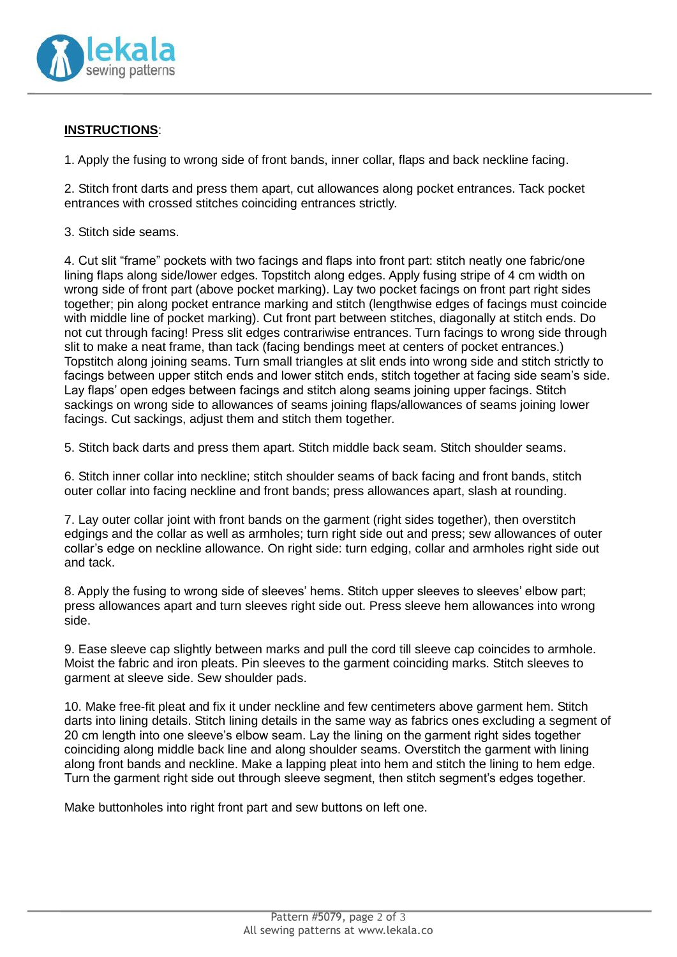

### **INSTRUCTIONS**:

1. Apply the fusing to wrong side of front bands, inner collar, flaps and back neckline facing.

2. Stitch front darts and press them apart, cut allowances along pocket entrances. Tack pocket entrances with crossed stitches coinciding entrances strictly.

3. Stitch side seams.

4. Cut slit "frame" pockets with two facings and flaps into front part: stitch neatly one fabric/one lining flaps along side/lower edges. Topstitch along edges. Apply fusing stripe of 4 cm width on wrong side of front part (above pocket marking). Lay two pocket facings on front part right sides together; pin along pocket entrance marking and stitch (lengthwise edges of facings must coincide with middle line of pocket marking). Cut front part between stitches, diagonally at stitch ends. Do not cut through facing! Press slit edges contrariwise entrances. Turn facings to wrong side through slit to make a neat frame, than tack (facing bendings meet at centers of pocket entrances.) Topstitch along joining seams. Turn small triangles at slit ends into wrong side and stitch strictly to facings between upper stitch ends and lower stitch ends, stitch together at facing side seam's side. Lay flaps' open edges between facings and stitch along seams joining upper facings. Stitch sackings on wrong side to allowances of seams joining flaps/allowances of seams joining lower facings. Cut sackings, adjust them and stitch them together.

5. Stitch back darts and press them apart. Stitch middle back seam. Stitch shoulder seams.

6. Stitch inner collar into neckline; stitch shoulder seams of back facing and front bands, stitch outer collar into facing neckline and front bands; press allowances apart, slash at rounding.

7. Lay outer collar joint with front bands on the garment (right sides together), then overstitch edgings and the collar as well as armholes; turn right side out and press; sew allowances of outer collar's edge on neckline allowance. On right side: turn edging, collar and armholes right side out and tack.

8. Apply the fusing to wrong side of sleeves' hems. Stitch upper sleeves to sleeves' elbow part; press allowances apart and turn sleeves right side out. Press sleeve hem allowances into wrong side.

9. Ease sleeve cap slightly between marks and pull the cord till sleeve cap coincides to armhole. Moist the fabric and iron pleats. Pin sleeves to the garment coinciding marks. Stitch sleeves to garment at sleeve side. Sew shoulder pads.

10. Make free-fit pleat and fix it under neckline and few centimeters above garment hem. Stitch darts into lining details. Stitch lining details in the same way as fabrics ones excluding a segment of 20 cm length into one sleeve's elbow seam. Lay the lining on the garment right sides together coinciding along middle back line and along shoulder seams. Overstitch the garment with lining along front bands and neckline. Make a lapping pleat into hem and stitch the lining to hem edge. Turn the garment right side out through sleeve segment, then stitch segment's edges together.

Make buttonholes into right front part and sew buttons on left one.